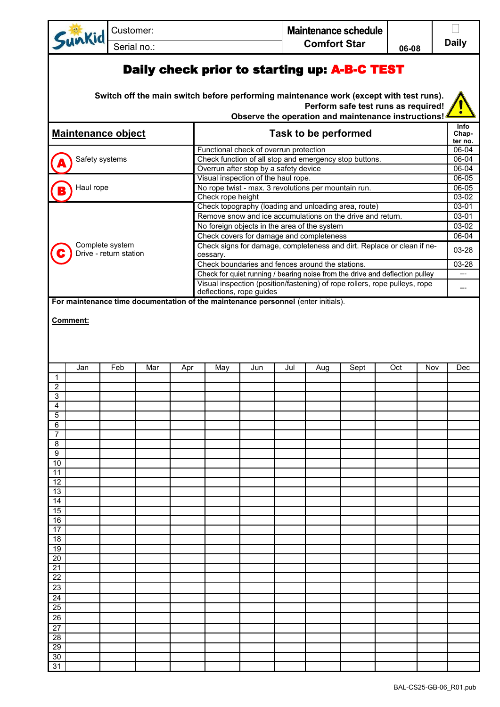|                           | unkid           | Customer:              |     |     |                                                                                                                                           |                                                                                    |                                                                                             | Maintenance schedule<br><b>Comfort Star</b> |     |                                                                                                                                                                               |       |     |                                    |  |
|---------------------------|-----------------|------------------------|-----|-----|-------------------------------------------------------------------------------------------------------------------------------------------|------------------------------------------------------------------------------------|---------------------------------------------------------------------------------------------|---------------------------------------------|-----|-------------------------------------------------------------------------------------------------------------------------------------------------------------------------------|-------|-----|------------------------------------|--|
|                           |                 | Serial no.:            |     |     |                                                                                                                                           |                                                                                    |                                                                                             |                                             |     |                                                                                                                                                                               | 06-08 |     | <b>Daily</b>                       |  |
|                           |                 |                        |     |     |                                                                                                                                           |                                                                                    |                                                                                             |                                             |     | Daily check prior to starting up: A-B-C TEST<br>Switch off the main switch before performing maintenance work (except with test runs).<br>Perform safe test runs as required! |       |     |                                    |  |
| <b>Maintenance object</b> |                 |                        |     |     |                                                                                                                                           | Observe the operation and maintenance instructions!<br><b>Task to be performed</b> |                                                                                             |                                             |     |                                                                                                                                                                               |       |     |                                    |  |
| Safety systems            |                 |                        |     |     | Functional check of overrun protection<br>Check function of all stop and emergency stop buttons.<br>Overrun after stop by a safety device |                                                                                    |                                                                                             |                                             |     |                                                                                                                                                                               |       |     | ter no.<br>06-04<br>06-04<br>06-04 |  |
| Haul rope                 |                 |                        |     |     |                                                                                                                                           |                                                                                    | Visual inspection of the haul rope.<br>No rope twist - max. 3 revolutions per mountain run. |                                             |     |                                                                                                                                                                               |       |     | 06-05<br>$06 - 05$                 |  |
|                           |                 |                        |     |     |                                                                                                                                           | Check rope height                                                                  |                                                                                             |                                             |     | Check topography (loading and unloading area, route)                                                                                                                          |       |     | $03-02$<br>03-01                   |  |
|                           |                 |                        |     |     |                                                                                                                                           |                                                                                    | No foreign objects in the area of the system                                                |                                             |     | Remove snow and ice accumulations on the drive and return.                                                                                                                    |       |     | 03-01<br>03-02                     |  |
|                           |                 |                        |     |     |                                                                                                                                           |                                                                                    | Check covers for damage and completeness                                                    |                                             |     |                                                                                                                                                                               |       |     | $06 - 04$                          |  |
|                           | Complete system | Drive - return station |     |     |                                                                                                                                           | cessary.                                                                           |                                                                                             |                                             |     | Check signs for damage, completeness and dirt. Replace or clean if ne-                                                                                                        |       |     | 03-28                              |  |
|                           |                 |                        |     |     |                                                                                                                                           |                                                                                    | Check boundaries and fences around the stations.                                            |                                             |     | Check for quiet running / bearing noise from the drive and deflection pulley                                                                                                  |       |     | 03-28                              |  |
|                           |                 |                        |     |     |                                                                                                                                           |                                                                                    | deflections, rope guides                                                                    |                                             |     | Visual inspection (position/fastening) of rope rollers, rope pulleys, rope                                                                                                    |       |     |                                    |  |
| Comment:                  |                 |                        |     |     |                                                                                                                                           |                                                                                    |                                                                                             |                                             |     |                                                                                                                                                                               |       |     |                                    |  |
|                           | Jan             | Feb                    | Mar | Apr |                                                                                                                                           | May                                                                                | Jun                                                                                         | Jul                                         | Aug | Sept                                                                                                                                                                          | Oct   | Nov | Dec                                |  |
| 1<br>$\overline{2}$       |                 |                        |     |     |                                                                                                                                           |                                                                                    |                                                                                             |                                             |     |                                                                                                                                                                               |       |     |                                    |  |
| 3<br>4                    |                 |                        |     |     |                                                                                                                                           |                                                                                    |                                                                                             |                                             |     |                                                                                                                                                                               |       |     |                                    |  |
| 5                         |                 |                        |     |     |                                                                                                                                           |                                                                                    |                                                                                             |                                             |     |                                                                                                                                                                               |       |     |                                    |  |
| 6<br>7                    |                 |                        |     |     |                                                                                                                                           |                                                                                    |                                                                                             |                                             |     |                                                                                                                                                                               |       |     |                                    |  |
| 8                         |                 |                        |     |     |                                                                                                                                           |                                                                                    |                                                                                             |                                             |     |                                                                                                                                                                               |       |     |                                    |  |
| 9<br>10                   |                 |                        |     |     |                                                                                                                                           |                                                                                    |                                                                                             |                                             |     |                                                                                                                                                                               |       |     |                                    |  |
| 11                        |                 |                        |     |     |                                                                                                                                           |                                                                                    |                                                                                             |                                             |     |                                                                                                                                                                               |       |     |                                    |  |
| 12<br>13                  |                 |                        |     |     |                                                                                                                                           |                                                                                    |                                                                                             |                                             |     |                                                                                                                                                                               |       |     |                                    |  |
| 14                        |                 |                        |     |     |                                                                                                                                           |                                                                                    |                                                                                             |                                             |     |                                                                                                                                                                               |       |     |                                    |  |
| 15<br>16                  |                 |                        |     |     |                                                                                                                                           |                                                                                    |                                                                                             |                                             |     |                                                                                                                                                                               |       |     |                                    |  |
| 17                        |                 |                        |     |     |                                                                                                                                           |                                                                                    |                                                                                             |                                             |     |                                                                                                                                                                               |       |     |                                    |  |
| 18                        |                 |                        |     |     |                                                                                                                                           |                                                                                    |                                                                                             |                                             |     |                                                                                                                                                                               |       |     |                                    |  |
| 19<br>20                  |                 |                        |     |     |                                                                                                                                           |                                                                                    |                                                                                             |                                             |     |                                                                                                                                                                               |       |     |                                    |  |
| 21                        |                 |                        |     |     |                                                                                                                                           |                                                                                    |                                                                                             |                                             |     |                                                                                                                                                                               |       |     |                                    |  |
| 22<br>23                  |                 |                        |     |     |                                                                                                                                           |                                                                                    |                                                                                             |                                             |     |                                                                                                                                                                               |       |     |                                    |  |
| $\overline{24}$           |                 |                        |     |     |                                                                                                                                           |                                                                                    |                                                                                             |                                             |     |                                                                                                                                                                               |       |     |                                    |  |
| 25                        |                 |                        |     |     |                                                                                                                                           |                                                                                    |                                                                                             |                                             |     |                                                                                                                                                                               |       |     |                                    |  |
| 26<br>$\overline{27}$     |                 |                        |     |     |                                                                                                                                           |                                                                                    |                                                                                             |                                             |     |                                                                                                                                                                               |       |     |                                    |  |
| 28                        |                 |                        |     |     |                                                                                                                                           |                                                                                    |                                                                                             |                                             |     |                                                                                                                                                                               |       |     |                                    |  |
| 29                        |                 |                        |     |     |                                                                                                                                           |                                                                                    |                                                                                             |                                             |     |                                                                                                                                                                               |       |     |                                    |  |
| 30<br>31                  |                 |                        |     |     |                                                                                                                                           |                                                                                    |                                                                                             |                                             |     |                                                                                                                                                                               |       |     |                                    |  |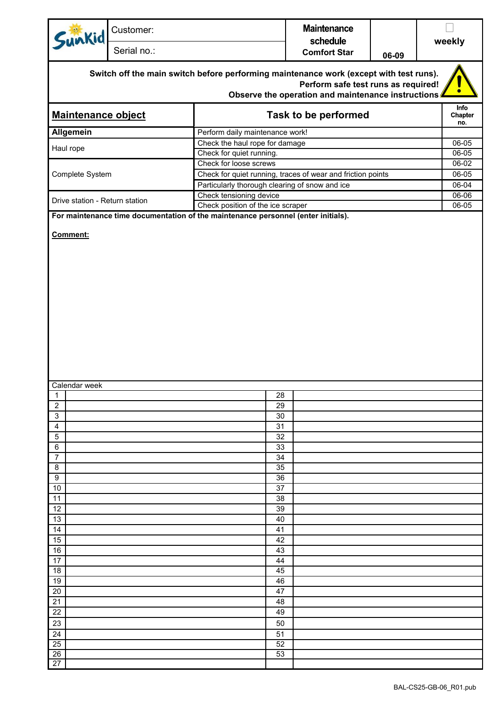| Sunkid                                                                                                                                                                              | Customer:   |                                                                                                                        | <b>Maintenance</b>              |       |                |  |  |  |  |
|-------------------------------------------------------------------------------------------------------------------------------------------------------------------------------------|-------------|------------------------------------------------------------------------------------------------------------------------|---------------------------------|-------|----------------|--|--|--|--|
|                                                                                                                                                                                     | Serial no.: |                                                                                                                        | schedule<br><b>Comfort Star</b> | 06-09 | weekly         |  |  |  |  |
| Switch off the main switch before performing maintenance work (except with test runs).<br>Perform safe test runs as required!<br>Observe the operation and maintenance instructions |             |                                                                                                                        |                                 |       |                |  |  |  |  |
| <b>Maintenance object</b>                                                                                                                                                           |             | Task to be performed                                                                                                   |                                 |       |                |  |  |  |  |
| <b>Allgemein</b>                                                                                                                                                                    |             | Perform daily maintenance work!                                                                                        |                                 |       |                |  |  |  |  |
| Haul rope                                                                                                                                                                           |             | Check the haul rope for damage                                                                                         |                                 |       |                |  |  |  |  |
|                                                                                                                                                                                     |             | Check for quiet running.                                                                                               |                                 |       | 06-05          |  |  |  |  |
| Complete System                                                                                                                                                                     |             | Check for loose screws<br>Check for quiet running, traces of wear and friction points                                  |                                 |       | 06-02<br>06-05 |  |  |  |  |
|                                                                                                                                                                                     |             | Particularly thorough clearing of snow and ice                                                                         |                                 |       | 06-04          |  |  |  |  |
|                                                                                                                                                                                     |             | Check tensioning device                                                                                                |                                 |       | $06 - 06$      |  |  |  |  |
| Drive station - Return station                                                                                                                                                      |             | Check position of the ice scraper<br>For maintenance time documentation of the maintenance personnel (enter initials). |                                 |       | 06-05          |  |  |  |  |
| Comment:                                                                                                                                                                            |             |                                                                                                                        |                                 |       |                |  |  |  |  |
| Calendar week                                                                                                                                                                       |             |                                                                                                                        |                                 |       |                |  |  |  |  |
| 1                                                                                                                                                                                   |             | 28<br>29                                                                                                               |                                 |       |                |  |  |  |  |
| 2<br>3                                                                                                                                                                              |             | 30                                                                                                                     |                                 |       |                |  |  |  |  |
| $\overline{4}$                                                                                                                                                                      |             | 31                                                                                                                     |                                 |       |                |  |  |  |  |
| 5                                                                                                                                                                                   |             | 32                                                                                                                     |                                 |       |                |  |  |  |  |
| 6                                                                                                                                                                                   |             | 33                                                                                                                     |                                 |       |                |  |  |  |  |
| $\overline{7}$<br>8                                                                                                                                                                 |             | 34<br>35                                                                                                               |                                 |       |                |  |  |  |  |
| 9                                                                                                                                                                                   |             | 36                                                                                                                     |                                 |       |                |  |  |  |  |
| 10                                                                                                                                                                                  |             | 37                                                                                                                     |                                 |       |                |  |  |  |  |
| 11                                                                                                                                                                                  |             | 38                                                                                                                     |                                 |       |                |  |  |  |  |
| 12                                                                                                                                                                                  |             | 39                                                                                                                     |                                 |       |                |  |  |  |  |
| 13<br>14                                                                                                                                                                            |             | 40<br>41                                                                                                               |                                 |       |                |  |  |  |  |
| 15                                                                                                                                                                                  |             | 42                                                                                                                     |                                 |       |                |  |  |  |  |
| 16                                                                                                                                                                                  |             | 43                                                                                                                     |                                 |       |                |  |  |  |  |
| 17                                                                                                                                                                                  |             | 44                                                                                                                     |                                 |       |                |  |  |  |  |
| 18                                                                                                                                                                                  |             | 45                                                                                                                     |                                 |       |                |  |  |  |  |
| 19                                                                                                                                                                                  |             | 46                                                                                                                     |                                 |       |                |  |  |  |  |
| 20                                                                                                                                                                                  |             | 47                                                                                                                     |                                 |       |                |  |  |  |  |
| 21<br>22                                                                                                                                                                            |             | 48                                                                                                                     |                                 |       |                |  |  |  |  |
| 23                                                                                                                                                                                  |             | 49                                                                                                                     |                                 |       |                |  |  |  |  |
| 24                                                                                                                                                                                  |             | 50<br>51                                                                                                               |                                 |       |                |  |  |  |  |
| 25                                                                                                                                                                                  |             | 52                                                                                                                     |                                 |       |                |  |  |  |  |
| $\overline{26}$                                                                                                                                                                     |             | $\overline{53}$                                                                                                        |                                 |       |                |  |  |  |  |
| 27                                                                                                                                                                                  |             |                                                                                                                        |                                 |       |                |  |  |  |  |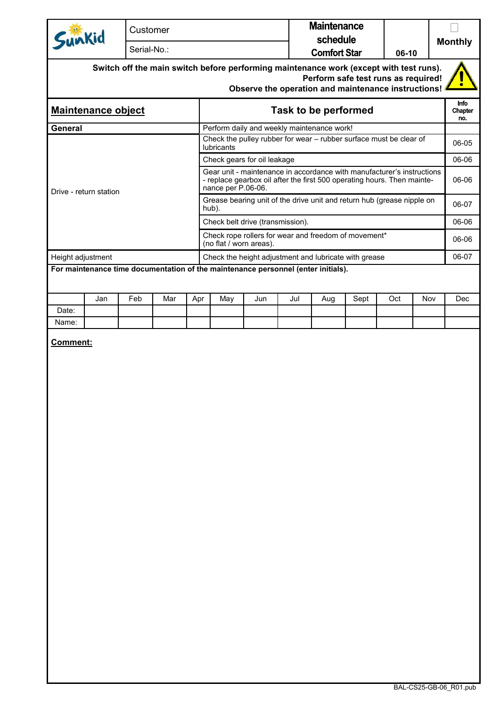| Sunkid                    | Customer    |                                                                                                                                                                                      | <b>Maintenance</b><br>schedule                                     |  |       |  |  |
|---------------------------|-------------|--------------------------------------------------------------------------------------------------------------------------------------------------------------------------------------|--------------------------------------------------------------------|--|-------|--|--|
|                           | Serial-No.: | 06-10                                                                                                                                                                                | <b>Monthly</b>                                                     |  |       |  |  |
|                           |             | Switch off the main switch before performing maintenance work (except with test runs).<br>Perform safe test runs as required!<br>Observe the operation and maintenance instructions! |                                                                    |  |       |  |  |
| <b>Maintenance object</b> |             | <b>Task to be performed</b>                                                                                                                                                          |                                                                    |  |       |  |  |
| General                   |             | Perform daily and weekly maintenance work!                                                                                                                                           |                                                                    |  |       |  |  |
|                           |             | <b>lubricants</b>                                                                                                                                                                    | Check the pulley rubber for wear – rubber surface must be clear of |  | 06-05 |  |  |
|                           |             | Check gears for oil leakage                                                                                                                                                          |                                                                    |  |       |  |  |
| Drive - return station    |             | Gear unit - maintenance in accordance with manufacturer's instructions<br>- replace gearbox oil after the first 500 operating hours. Then mainte-<br>nance per P.06-06.              |                                                                    |  |       |  |  |
|                           |             | Grease bearing unit of the drive unit and return hub (grease nipple on<br>hub).                                                                                                      |                                                                    |  |       |  |  |
|                           |             | Check belt drive (transmission).                                                                                                                                                     |                                                                    |  |       |  |  |
|                           |             | Check rope rollers for wear and freedom of movement*<br>(no flat / worn areas).                                                                                                      |                                                                    |  |       |  |  |
| Height adjustment         |             |                                                                                                                                                                                      | Check the height adjustment and lubricate with grease              |  | 06-07 |  |  |
|                           |             | For maintenance time documentation of the maintenance personnel (enter initials).                                                                                                    |                                                                    |  |       |  |  |

|       | Jan | Feb | Mar | Apr | May | Jun | Jul | Aug | Sept | Oct | Nov | Dec |
|-------|-----|-----|-----|-----|-----|-----|-----|-----|------|-----|-----|-----|
| Date: |     |     |     |     |     |     |     |     |      |     |     |     |
| Name: |     |     |     |     |     |     |     |     |      |     |     |     |

**Comment:**